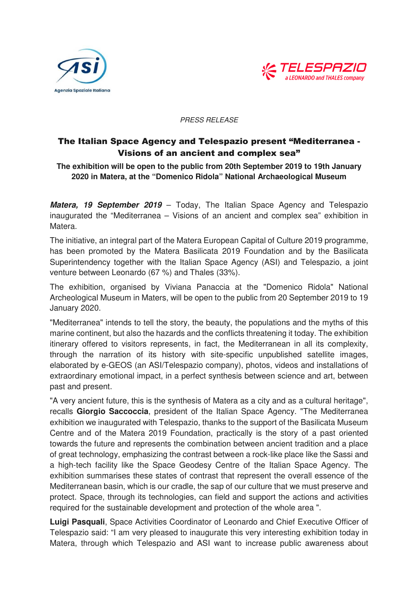



## PRESS RELEASE

## The Italian Space Agency and Telespazio present "Mediterranea - Visions of an ancient and complex sea"

**The exhibition will be open to the public from 20th September 2019 to 19th January 2020 in Matera, at the "Domenico Ridola" National Archaeological Museum** 

**Matera, 19 September 2019** – Today, The Italian Space Agency and Telespazio inaugurated the "Mediterranea – Visions of an ancient and complex sea" exhibition in Matera.

The initiative, an integral part of the Matera European Capital of Culture 2019 programme, has been promoted by the Matera Basilicata 2019 Foundation and by the Basilicata Superintendency together with the Italian Space Agency (ASI) and Telespazio, a joint venture between Leonardo (67 %) and Thales (33%).

The exhibition, organised by Viviana Panaccia at the "Domenico Ridola" National Archeological Museum in Maters, will be open to the public from 20 September 2019 to 19 January 2020.

"Mediterranea" intends to tell the story, the beauty, the populations and the myths of this marine continent, but also the hazards and the conflicts threatening it today. The exhibition itinerary offered to visitors represents, in fact, the Mediterranean in all its complexity, through the narration of its history with site-specific unpublished satellite images, elaborated by e-GEOS (an ASI/Telespazio company), photos, videos and installations of extraordinary emotional impact, in a perfect synthesis between science and art, between past and present.

"A very ancient future, this is the synthesis of Matera as a city and as a cultural heritage", recalls **Giorgio Saccoccia**, president of the Italian Space Agency. "The Mediterranea exhibition we inaugurated with Telespazio, thanks to the support of the Basilicata Museum Centre and of the Matera 2019 Foundation, practically is the story of a past oriented towards the future and represents the combination between ancient tradition and a place of great technology, emphasizing the contrast between a rock-like place like the Sassi and a high-tech facility like the Space Geodesy Centre of the Italian Space Agency. The exhibition summarises these states of contrast that represent the overall essence of the Mediterranean basin, which is our cradle, the sap of our culture that we must preserve and protect. Space, through its technologies, can field and support the actions and activities required for the sustainable development and protection of the whole area ".

**Luigi Pasquali**, Space Activities Coordinator of Leonardo and Chief Executive Officer of Telespazio said: "I am very pleased to inaugurate this very interesting exhibition today in Matera, through which Telespazio and ASI want to increase public awareness about